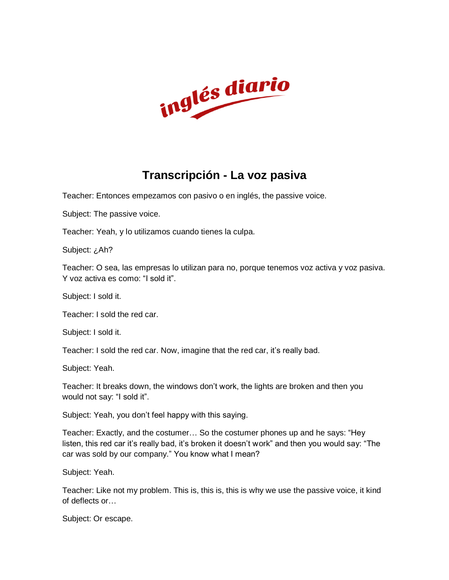

## **Transcripción - La voz pasiva**

Teacher: Entonces empezamos con pasivo o en inglés, the passive voice.

Subject: The passive voice.

Teacher: Yeah, y lo utilizamos cuando tienes la culpa.

Subject: ¿Ah?

Teacher: O sea, las empresas lo utilizan para no, porque tenemos voz activa y voz pasiva. Y voz activa es como: "I sold it".

Subject: I sold it.

Teacher: I sold the red car.

Subject: I sold it.

Teacher: I sold the red car. Now, imagine that the red car, it's really bad.

Subject: Yeah.

Teacher: It breaks down, the windows don't work, the lights are broken and then you would not say: "I sold it".

Subject: Yeah, you don't feel happy with this saying.

Teacher: Exactly, and the costumer… So the costumer phones up and he says: "Hey listen, this red car it's really bad, it's broken it doesn't work" and then you would say: "The car was sold by our company." You know what I mean?

Subject: Yeah.

Teacher: Like not my problem. This is, this is, this is why we use the passive voice, it kind of deflects or…

Subject: Or escape.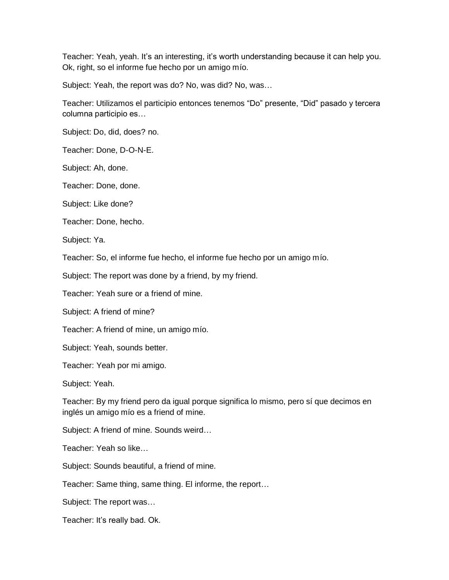Teacher: Yeah, yeah. It's an interesting, it's worth understanding because it can help you. Ok, right, so el informe fue hecho por un amigo mío.

Subject: Yeah, the report was do? No, was did? No, was…

Teacher: Utilizamos el participio entonces tenemos "Do" presente, "Did" pasado y tercera columna participio es…

Subject: Do, did, does? no.

Teacher: Done, D-O-N-E.

Subject: Ah, done.

Teacher: Done, done.

Subject: Like done?

Teacher: Done, hecho.

Subject: Ya.

Teacher: So, el informe fue hecho, el informe fue hecho por un amigo mío.

Subject: The report was done by a friend, by my friend.

Teacher: Yeah sure or a friend of mine.

Subject: A friend of mine?

Teacher: A friend of mine, un amigo mío.

Subject: Yeah, sounds better.

Teacher: Yeah por mi amigo.

Subject: Yeah.

Teacher: By my friend pero da igual porque significa lo mismo, pero sí que decimos en inglés un amigo mío es a friend of mine.

Subject: A friend of mine. Sounds weird…

Teacher: Yeah so like…

Subject: Sounds beautiful, a friend of mine.

Teacher: Same thing, same thing. El informe, the report…

Subject: The report was…

Teacher: It's really bad. Ok.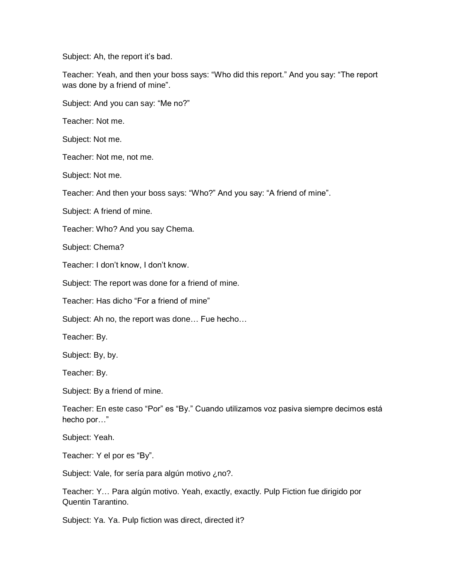Subject: Ah, the report it's bad.

Teacher: Yeah, and then your boss says: "Who did this report." And you say: "The report was done by a friend of mine".

Subject: And you can say: "Me no?"

Teacher: Not me.

Subject: Not me.

Teacher: Not me, not me.

Subject: Not me.

Teacher: And then your boss says: "Who?" And you say: "A friend of mine".

Subject: A friend of mine.

Teacher: Who? And you say Chema.

Subject: Chema?

Teacher: I don't know, I don't know.

Subject: The report was done for a friend of mine.

Teacher: Has dicho "For a friend of mine"

Subject: Ah no, the report was done… Fue hecho…

Teacher: By.

Subject: By, by.

Teacher: By.

Subject: By a friend of mine.

Teacher: En este caso "Por" es "By." Cuando utilizamos voz pasiva siempre decimos está hecho por…"

Subject: Yeah.

Teacher: Y el por es "By".

Subject: Vale, for sería para algún motivo ¿no?.

Teacher: Y… Para algún motivo. Yeah, exactly, exactly. Pulp Fiction fue dirigido por Quentin Tarantino.

Subject: Ya. Ya. Pulp fiction was direct, directed it?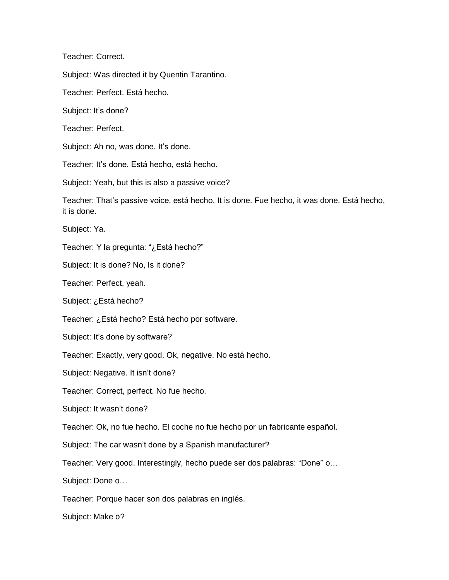Teacher: Correct.

Subject: Was directed it by Quentin Tarantino.

Teacher: Perfect. Está hecho.

Subject: It's done?

Teacher: Perfect.

Subject: Ah no, was done. It's done.

Teacher: It's done. Está hecho, está hecho.

Subject: Yeah, but this is also a passive voice?

Teacher: That's passive voice, está hecho. It is done. Fue hecho, it was done. Está hecho, it is done.

Subject: Ya.

Teacher: Y la pregunta: "¿Está hecho?"

Subject: It is done? No, Is it done?

Teacher: Perfect, yeah.

Subject: ¿Está hecho?

Teacher: ¿Está hecho? Está hecho por software.

Subject: It's done by software?

Teacher: Exactly, very good. Ok, negative. No está hecho.

Subject: Negative. It isn't done?

Teacher: Correct, perfect. No fue hecho.

Subject: It wasn't done?

Teacher: Ok, no fue hecho. El coche no fue hecho por un fabricante español.

Subject: The car wasn't done by a Spanish manufacturer?

Teacher: Very good. Interestingly, hecho puede ser dos palabras: "Done" o…

Subject: Done o…

Teacher: Porque hacer son dos palabras en inglés.

Subject: Make o?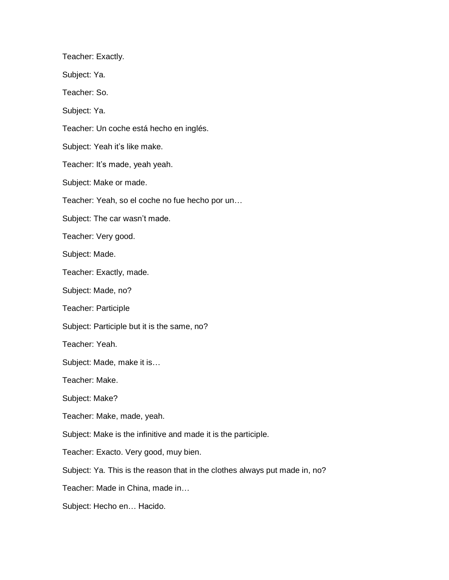Teacher: Exactly. Subject: Ya. Teacher: So. Subject: Ya. Teacher: Un coche está hecho en inglés. Subject: Yeah it's like make. Teacher: It's made, yeah yeah. Subject: Make or made. Teacher: Yeah, so el coche no fue hecho por un… Subject: The car wasn't made. Teacher: Very good. Subject: Made. Teacher: Exactly, made. Subject: Made, no? Teacher: Participle Subject: Participle but it is the same, no? Teacher: Yeah. Subject: Made, make it is… Teacher: Make. Subject: Make? Teacher: Make, made, yeah. Subject: Make is the infinitive and made it is the participle. Teacher: Exacto. Very good, muy bien. Subject: Ya. This is the reason that in the clothes always put made in, no? Teacher: Made in China, made in… Subject: Hecho en… Hacido.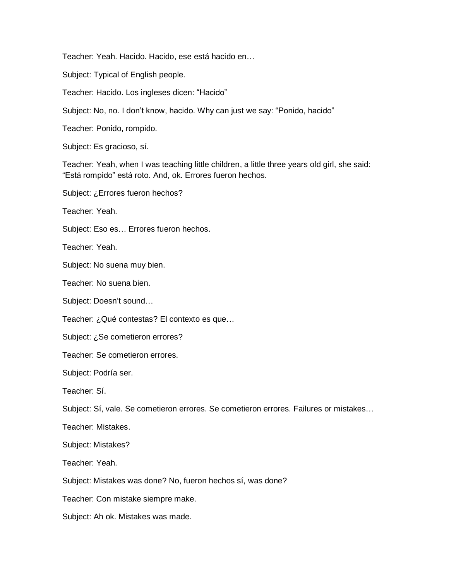Teacher: Yeah. Hacido. Hacido, ese está hacido en…

Subject: Typical of English people.

Teacher: Hacido. Los ingleses dicen: "Hacido"

Subject: No, no. I don't know, hacido. Why can just we say: "Ponido, hacido"

Teacher: Ponido, rompido.

Subject: Es gracioso, sí.

Teacher: Yeah, when I was teaching little children, a little three years old girl, she said: "Está rompido" está roto. And, ok. Errores fueron hechos.

Subject: ¿Errores fueron hechos?

Teacher: Yeah.

Subject: Eso es… Errores fueron hechos.

Teacher: Yeah.

Subject: No suena muy bien.

Teacher: No suena bien.

Subject: Doesn't sound…

Teacher: ¿Qué contestas? El contexto es que…

Subject: ¿Se cometieron errores?

Teacher: Se cometieron errores.

Subject: Podría ser.

Teacher: Sí.

Subject: Sí, vale. Se cometieron errores. Se cometieron errores. Failures or mistakes…

Teacher: Mistakes.

Subject: Mistakes?

Teacher: Yeah.

Subject: Mistakes was done? No, fueron hechos sí, was done?

Teacher: Con mistake siempre make.

Subject: Ah ok. Mistakes was made.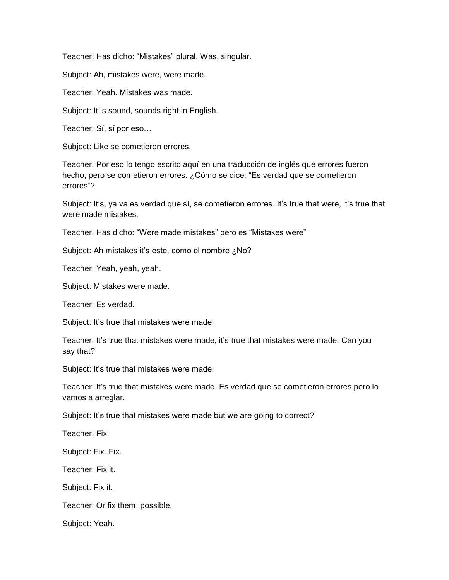Teacher: Has dicho: "Mistakes" plural. Was, singular.

Subject: Ah, mistakes were, were made.

Teacher: Yeah. Mistakes was made.

Subject: It is sound, sounds right in English.

Teacher: Sí, sí por eso…

Subject: Like se cometieron errores.

Teacher: Por eso lo tengo escrito aquí en una traducción de inglés que errores fueron hecho, pero se cometieron errores. ¿Cómo se dice: "Es verdad que se cometieron errores"?

Subject: It's, ya va es verdad que sí, se cometieron errores. It's true that were, it's true that were made mistakes.

Teacher: Has dicho: "Were made mistakes" pero es "Mistakes were"

Subject: Ah mistakes it's este, como el nombre ¿No?

Teacher: Yeah, yeah, yeah.

Subject: Mistakes were made.

Teacher: Es verdad.

Subject: It's true that mistakes were made.

Teacher: It's true that mistakes were made, it's true that mistakes were made. Can you say that?

Subject: It's true that mistakes were made.

Teacher: It's true that mistakes were made. Es verdad que se cometieron errores pero lo vamos a arreglar.

Subject: It's true that mistakes were made but we are going to correct?

Teacher: Fix.

Subject: Fix. Fix.

Teacher: Fix it.

Subject: Fix it.

Teacher: Or fix them, possible.

Subject: Yeah.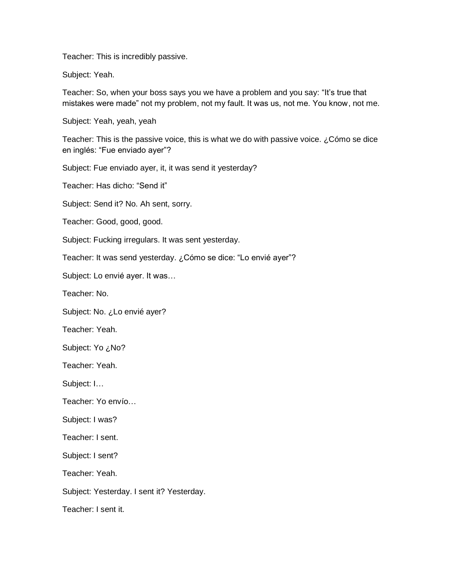Teacher: This is incredibly passive.

Subject: Yeah.

Teacher: So, when your boss says you we have a problem and you say: "It's true that mistakes were made" not my problem, not my fault. It was us, not me. You know, not me.

Subject: Yeah, yeah, yeah

Teacher: This is the passive voice, this is what we do with passive voice.  $i$  Cómo se dice en inglés: "Fue enviado ayer"?

Subject: Fue enviado ayer, it, it was send it yesterday?

Teacher: Has dicho: "Send it"

Subject: Send it? No. Ah sent, sorry.

Teacher: Good, good, good.

Subject: Fucking irregulars. It was sent yesterday.

Teacher: It was send yesterday. ¿Cómo se dice: "Lo envié ayer"?

Subject: Lo envié ayer. It was…

Teacher: No.

Subject: No. ¿Lo envié ayer?

Teacher: Yeah.

Subject: Yo ¿No?

Teacher: Yeah.

Subject: I…

Teacher: Yo envío…

Subject: I was?

Teacher: I sent.

Subject: I sent?

Teacher: Yeah.

Subject: Yesterday. I sent it? Yesterday.

Teacher: I sent it.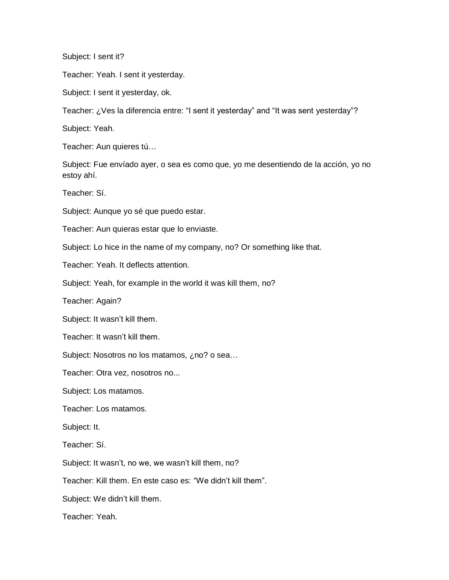Subject: I sent it?

Teacher: Yeah. I sent it yesterday.

Subject: I sent it yesterday, ok.

Teacher: ¿Ves la diferencia entre: "I sent it yesterday" and "It was sent yesterday"?

Subject: Yeah.

Teacher: Aun quieres tú…

Subject: Fue envíado ayer, o sea es como que, yo me desentiendo de la acción, yo no estoy ahí.

Teacher: Sí.

Subject: Aunque yo sé que puedo estar.

Teacher: Aun quieras estar que lo enviaste.

Subject: Lo hice in the name of my company, no? Or something like that.

Teacher: Yeah. It deflects attention.

Subject: Yeah, for example in the world it was kill them, no?

Teacher: Again?

Subject: It wasn't kill them.

Teacher: It wasn't kill them.

Subject: Nosotros no los matamos, ¿no? o sea...

Teacher: Otra vez, nosotros no...

Subject: Los matamos.

Teacher: Los matamos.

Subject: It.

Teacher: Sí.

Subject: It wasn't, no we, we wasn't kill them, no?

Teacher: Kill them. En este caso es: "We didn't kill them".

Subject: We didn't kill them.

Teacher: Yeah.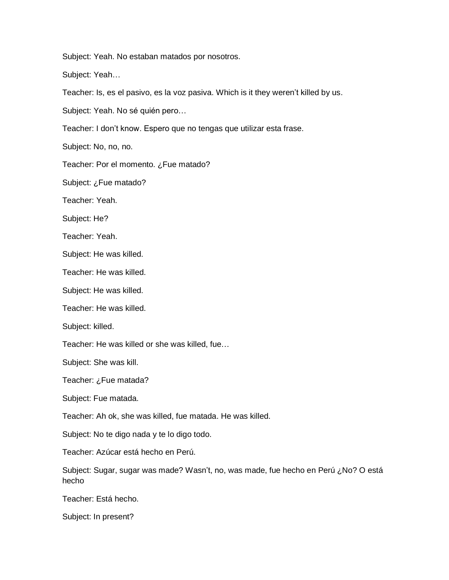Subject: Yeah. No estaban matados por nosotros.

Subject: Yeah…

Teacher: Is, es el pasivo, es la voz pasiva. Which is it they weren't killed by us.

Subject: Yeah. No sé quién pero…

Teacher: I don't know. Espero que no tengas que utilizar esta frase.

Subject: No, no, no.

Teacher: Por el momento. ¿Fue matado?

Subject: ¿Fue matado?

Teacher: Yeah.

Subject: He?

Teacher: Yeah.

Subject: He was killed.

Teacher: He was killed.

Subject: He was killed.

Teacher: He was killed.

Subject: killed.

Teacher: He was killed or she was killed, fue…

Subject: She was kill.

Teacher: ¿Fue matada?

Subject: Fue matada.

Teacher: Ah ok, she was killed, fue matada. He was killed.

Subject: No te digo nada y te lo digo todo.

Teacher: Azúcar está hecho en Perú.

Subject: Sugar, sugar was made? Wasn't, no, was made, fue hecho en Perú ¿No? O está hecho

Teacher: Está hecho.

Subject: In present?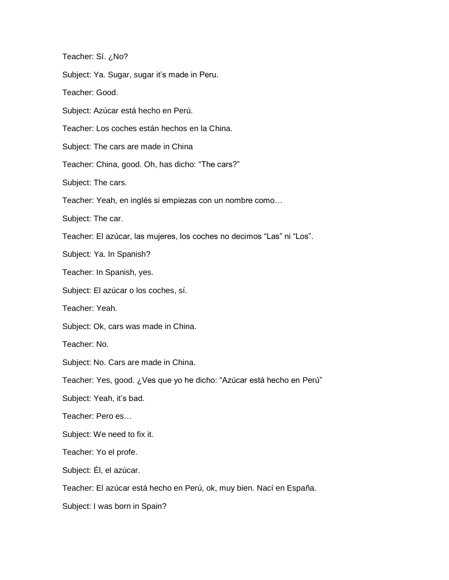Teacher: Sí. ¿No?

Subject: Ya. Sugar, sugar it's made in Peru.

Teacher: Good.

Subject: Azúcar está hecho en Perú.

Teacher: Los coches están hechos en la China.

Subject: The cars are made in China

Teacher: China, good. Oh, has dicho: "The cars?"

Subject: The cars.

Teacher: Yeah, en inglés si empiezas con un nombre como…

Subject: The car.

Teacher: El azúcar, las mujeres, los coches no decimos "Las" ni "Los".

Subject: Ya. In Spanish?

Teacher: In Spanish, yes.

Subject: El azúcar o los coches, sí.

Teacher: Yeah.

Subject: Ok, cars was made in China.

Teacher: No.

Subject: No. Cars are made in China.

Teacher: Yes, good. ¿Ves que yo he dicho: "Azúcar está hecho en Perú"

Subject: Yeah, it's bad.

Teacher: Pero es…

Subject: We need to fix it.

Teacher: Yo el profe.

Subject: Él, el azúcar.

Teacher: El azúcar está hecho en Perú, ok, muy bien. Nací en España.

Subject: I was born in Spain?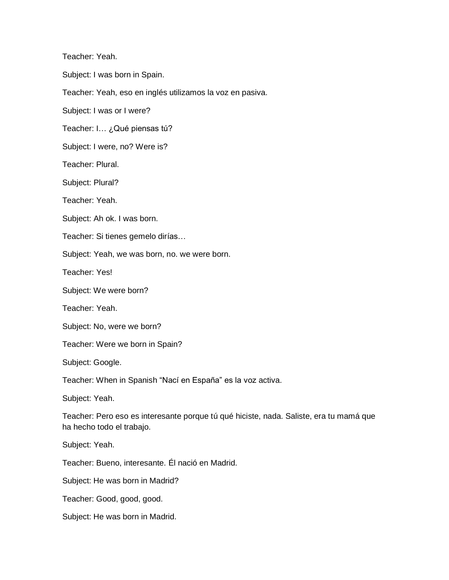Teacher: Yeah.

Subject: I was born in Spain.

Teacher: Yeah, eso en inglés utilizamos la voz en pasiva.

Subject: I was or I were?

Teacher: I… ¿Qué piensas tú?

Subject: I were, no? Were is?

Teacher: Plural.

Subject: Plural?

Teacher: Yeah.

Subject: Ah ok. I was born.

Teacher: Si tienes gemelo dirías…

Subject: Yeah, we was born, no. we were born.

Teacher: Yes!

Subject: We were born?

Teacher: Yeah.

Subject: No, were we born?

Teacher: Were we born in Spain?

Subject: Google.

Teacher: When in Spanish "Nací en España" es la voz activa.

Subject: Yeah.

Teacher: Pero eso es interesante porque tú qué hiciste, nada. Saliste, era tu mamá que ha hecho todo el trabajo.

Subject: Yeah.

Teacher: Bueno, interesante. Él nació en Madrid.

Subject: He was born in Madrid?

Teacher: Good, good, good.

Subject: He was born in Madrid.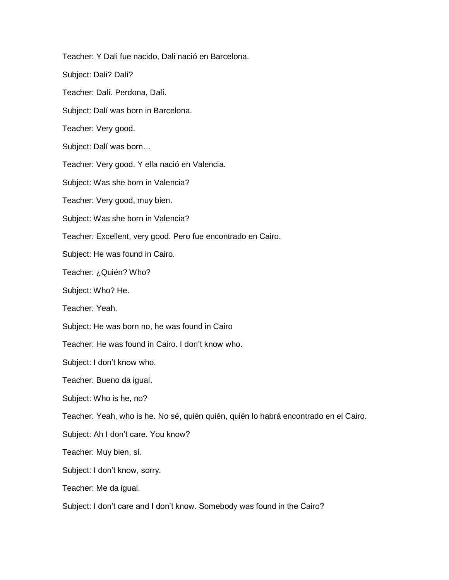Teacher: Y Dali fue nacido, Dali nació en Barcelona. Subject: Dali? Dalí? Teacher: Dalí. Perdona, Dalí. Subject: Dalí was born in Barcelona. Teacher: Very good. Subject: Dalí was born… Teacher: Very good. Y ella nació en Valencia. Subject: Was she born in Valencia? Teacher: Very good, muy bien. Subject: Was she born in Valencia? Teacher: Excellent, very good. Pero fue encontrado en Cairo. Subject: He was found in Cairo. Teacher: ¿Quién? Who? Subject: Who? He. Teacher: Yeah. Subject: He was born no, he was found in Cairo Teacher: He was found in Cairo. I don't know who. Subject: I don't know who. Teacher: Bueno da igual. Subject: Who is he, no? Teacher: Yeah, who is he. No sé, quién quién, quién lo habrá encontrado en el Cairo. Subject: Ah I don't care. You know? Teacher: Muy bien, sí. Subject: I don't know, sorry. Teacher: Me da igual.

Subject: I don't care and I don't know. Somebody was found in the Cairo?